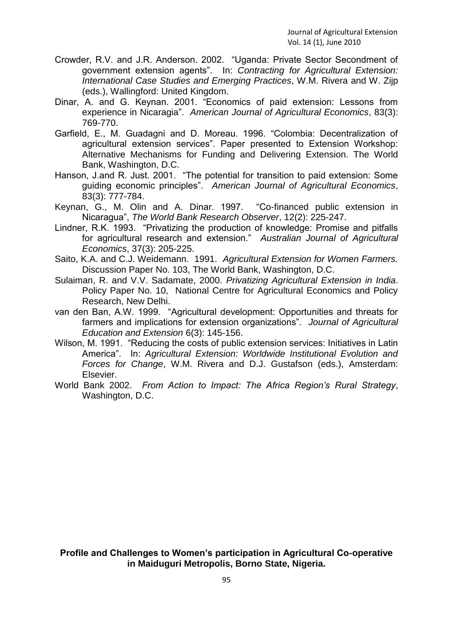**Profile and Challenges to Women's participation in Agricultural Co-operative in Maiduguri Metropolis, Borno State, Nigeria.**

95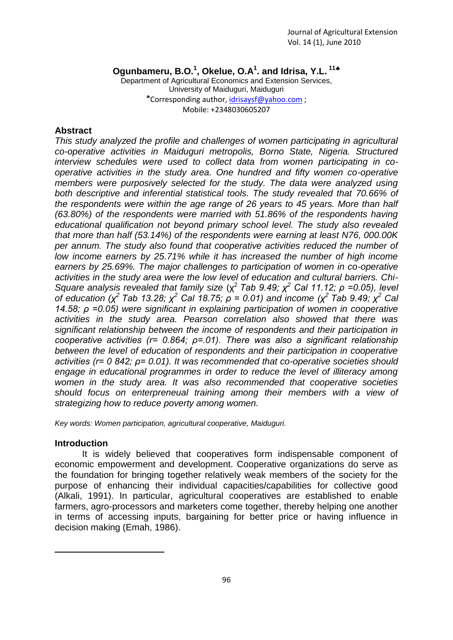**Ogunbameru, B.O.<sup>1</sup> , Okelue, O.A<sup>1</sup> . and Idrisa, Y.L. <sup>11</sup>**

Department of Agricultural Economics and Extension Services, University of Maiduguri, Maiduguri \*Corresponding author, [idrisaysf@yahoo.com](mailto:idrisaysf@yahoo.com); Mobile: +2348030605207

# **Abstract**

*This study analyzed the profile and challenges of women participating in agricultural co-operative activities in Maiduguri metropolis, Borno State, Nigeria. Structured interview schedules were used to collect data from women participating in cooperative activities in the study area. One hundred and fifty women co-operative members were purposively selected for the study. The data were analyzed using both descriptive and inferential statistical tools. The study revealed that 70.66% of the respondents were within the age range of 26 years to 45 years. More than half (63.80%) of the respondents were married with 51.86% of the respondents having educational qualification not beyond primary school level. The study also revealed that more than half (53.14%) of the respondents were earning at least N76, 000.00K per annum. The study also found that cooperative activities reduced the number of low income earners by 25.71% while it has increased the number of high income earners by 25.69%. The major challenges to participation of women in co-operative activities in the study area were the low level of education and cultural barriers. Chi-Square analysis revealed that family size* ( $χ²$  Tab 9.49;  $χ²$  Cal 11.12;  $ρ$  =0.05), level *of education (χ <sup>2</sup>Tab 13.28; χ<sup>2</sup> Cal 18.75; ρ = 0.01) and income (χ<sup>2</sup>Tab 9.49; χ<sup>2</sup> Cal 14.58; ρ =0.05) were significant in explaining participation of women in cooperative activities in the study area. Pearson correlation also showed that there was significant relationship between the income of respondents and their participation in cooperative activities (r= 0.864; ρ=.01). There was also a significant relationship between the level of education of respondents and their participation in cooperative activities (r= 0 842; ρ= 0.01). It was recommended that co-operative societies should engage in educational programmes in order to reduce the level of illiteracy among women in the study area. It was also recommended that cooperative societies should focus on enterpreneual training among their members with a view of strategizing how to reduce poverty among women.*

*Key words: Women participation, agricultural cooperative, Maiduguri.*

# **Introduction**

1

It is widely believed that cooperatives form indispensable component of economic empowerment and development. Cooperative organizations do serve as the foundation for bringing together relatively weak members of the society for the purpose of enhancing their individual capacities/capabilities for collective good (Alkali, 1991). In particular, agricultural cooperatives are established to enable farmers, agro-processors and marketers come together, thereby helping one another in terms of accessing inputs, bargaining for better price or having influence in decision making (Emah, 1986).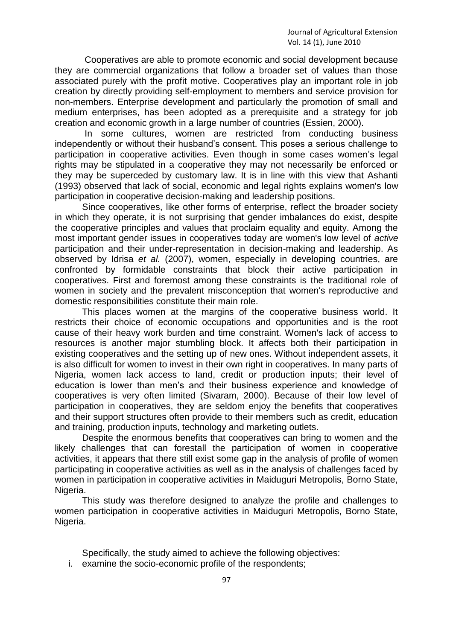Cooperatives are able to promote economic and social development because they are commercial organizations that follow a broader set of values than those associated purely with the profit motive. Cooperatives play an important role in job creation by directly providing self-employment to members and service provision for non-members. Enterprise development and particularly the promotion of small and medium enterprises, has been adopted as a prerequisite and a strategy for job creation and economic growth in a large number of countries (Essien, 2000).

In some cultures, women are restricted from conducting business independently or without their husband's consent. This poses a serious challenge to participation in cooperative activities. Even though in some cases women's legal rights may be stipulated in a cooperative they may not necessarily be enforced or they may be superceded by customary law. It is in line with this view that Ashanti (1993) observed that lack of social, economic and legal rights explains women's low participation in cooperative decision-making and leadership positions.

Since cooperatives, like other forms of enterprise, reflect the broader society in which they operate, it is not surprising that gender imbalances do exist, despite the cooperative principles and values that proclaim equality and equity. Among the most important gender issues in cooperatives today are women's low level of *active*  participation and their under-representation in decision-making and leadership. As observed by Idrisa *et al.* (2007), women, especially in developing countries, are confronted by formidable constraints that block their active participation in cooperatives. First and foremost among these constraints is the traditional role of women in society and the prevalent misconception that women's reproductive and domestic responsibilities constitute their main role.

This places women at the margins of the cooperative business world. It restricts their choice of economic occupations and opportunities and is the root cause of their heavy work burden and time constraint. Women's lack of access to resources is another major stumbling block. It affects both their participation in existing cooperatives and the setting up of new ones. Without independent assets, it is also difficult for women to invest in their own right in cooperatives. In many parts of Nigeria, women lack access to land, credit or production inputs; their level of education is lower than men's and their business experience and knowledge of cooperatives is very often limited (Sivaram, 2000). Because of their low level of participation in cooperatives, they are seldom enjoy the benefits that cooperatives and their support structures often provide to their members such as credit, education and training, production inputs, technology and marketing outlets.

Despite the enormous benefits that cooperatives can bring to women and the likely challenges that can forestall the participation of women in cooperative activities, it appears that there still exist some gap in the analysis of profile of women participating in cooperative activities as well as in the analysis of challenges faced by women in participation in cooperative activities in Maiduguri Metropolis, Borno State, Nigeria.

This study was therefore designed to analyze the profile and challenges to women participation in cooperative activities in Maiduguri Metropolis, Borno State, Nigeria.

Specifically, the study aimed to achieve the following objectives:

i. examine the socio-economic profile of the respondents;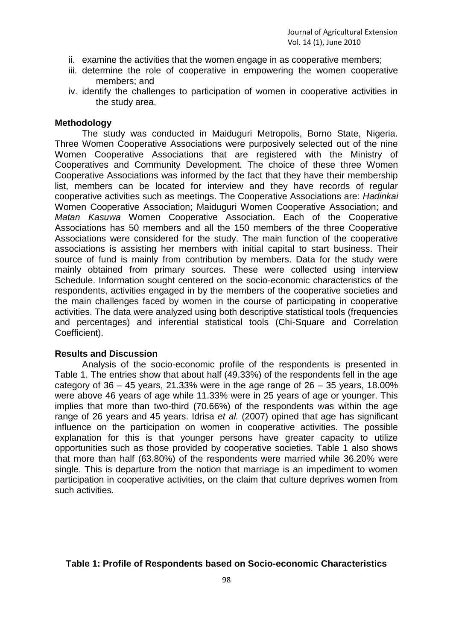- ii. examine the activities that the women engage in as cooperative members;
- iii. determine the role of cooperative in empowering the women cooperative members; and
- iv. identify the challenges to participation of women in cooperative activities in the study area.

# **Methodology**

The study was conducted in Maiduguri Metropolis, Borno State, Nigeria. Three Women Cooperative Associations were purposively selected out of the nine Women Cooperative Associations that are registered with the Ministry of Cooperatives and Community Development. The choice of these three Women Cooperative Associations was informed by the fact that they have their membership list, members can be located for interview and they have records of regular cooperative activities such as meetings. The Cooperative Associations are: *Hadinkai* Women Cooperative Association; Maiduguri Women Cooperative Association; and *Matan Kasuwa* Women Cooperative Association. Each of the Cooperative Associations has 50 members and all the 150 members of the three Cooperative Associations were considered for the study. The main function of the cooperative associations is assisting her members with initial capital to start business. Their source of fund is mainly from contribution by members. Data for the study were mainly obtained from primary sources. These were collected using interview Schedule. Information sought centered on the socio-economic characteristics of the respondents, activities engaged in by the members of the cooperative societies and the main challenges faced by women in the course of participating in cooperative activities. The data were analyzed using both descriptive statistical tools (frequencies and percentages) and inferential statistical tools (Chi-Square and Correlation Coefficient).

# **Results and Discussion**

Analysis of the socio-economic profile of the respondents is presented in Table 1. The entries show that about half (49.33%) of the respondents fell in the age category of  $36 - 45$  years, 21.33% were in the age range of  $26 - 35$  years, 18.00% were above 46 years of age while 11.33% were in 25 years of age or younger. This implies that more than two-third (70.66%) of the respondents was within the age range of 26 years and 45 years. Idrisa *et al.* (2007) opined that age has significant influence on the participation on women in cooperative activities. The possible explanation for this is that younger persons have greater capacity to utilize opportunities such as those provided by cooperative societies. Table 1 also shows that more than half (63.80%) of the respondents were married while 36.20% were single. This is departure from the notion that marriage is an impediment to women participation in cooperative activities, on the claim that culture deprives women from such activities.

# **Table 1: Profile of Respondents based on Socio-economic Characteristics**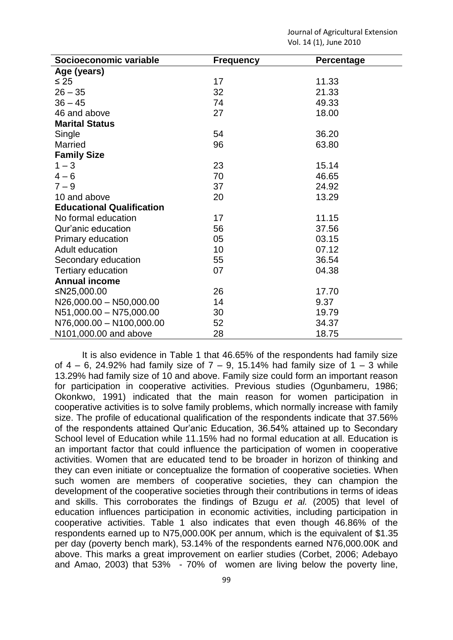| Socioeconomic variable           | <b>Frequency</b> | Percentage |
|----------------------------------|------------------|------------|
| Age (years)                      |                  |            |
| $\leq 25$                        | 17               | 11.33      |
| $26 - 35$                        | 32               | 21.33      |
| $36 - 45$                        | 74               | 49.33      |
| 46 and above                     | 27               | 18.00      |
| <b>Marital Status</b>            |                  |            |
| Single                           | 54               | 36.20      |
| <b>Married</b>                   | 96               | 63.80      |
| <b>Family Size</b>               |                  |            |
| $1 - 3$                          | 23               | 15.14      |
| $4 - 6$                          | 70               | 46.65      |
| $7 - 9$                          | 37               | 24.92      |
| 10 and above                     | 20               | 13.29      |
| <b>Educational Qualification</b> |                  |            |
| No formal education              | 17               | 11.15      |
| Qur'anic education               | 56               | 37.56      |
| Primary education                | 05               | 03.15      |
| Adult education                  | 10               | 07.12      |
| Secondary education              | 55               | 36.54      |
| <b>Tertiary education</b>        | 07               | 04.38      |
| <b>Annual income</b>             |                  |            |
| ≤N25,000.00                      | 26               | 17.70      |
| N26,000.00 - N50,000.00          | 14               | 9.37       |
| N51,000.00 - N75,000.00          | 30               | 19.79      |
| N76,000.00 - N100,000.00         | 52               | 34.37      |
| N101,000.00 and above            | 28               | 18.75      |

It is also evidence in Table 1 that 46.65% of the respondents had family size of  $4 - 6$ , 24.92% had family size of  $7 - 9$ , 15.14% had family size of  $1 - 3$  while 13.29% had family size of 10 and above. Family size could form an important reason for participation in cooperative activities. Previous studies (Ogunbameru, 1986; Okonkwo, 1991) indicated that the main reason for women participation in cooperative activities is to solve family problems, which normally increase with family size. The profile of educational qualification of the respondents indicate that 37.56% of the respondents attained Qur'anic Education, 36.54% attained up to Secondary School level of Education while 11.15% had no formal education at all. Education is an important factor that could influence the participation of women in cooperative activities. Women that are educated tend to be broader in horizon of thinking and they can even initiate or conceptualize the formation of cooperative societies. When such women are members of cooperative societies, they can champion the development of the cooperative societies through their contributions in terms of ideas and skills. This corroborates the findings of Bzugu *et al.* (2005) that level of education influences participation in economic activities, including participation in cooperative activities. Table 1 also indicates that even though 46.86% of the respondents earned up to N75,000.00K per annum, which is the equivalent of \$1.35 per day (poverty bench mark), 53.14% of the respondents earned N76,000.00K and above. This marks a great improvement on earlier studies (Corbet, 2006; Adebayo and Amao, 2003) that 53% - 70% of women are living below the poverty line,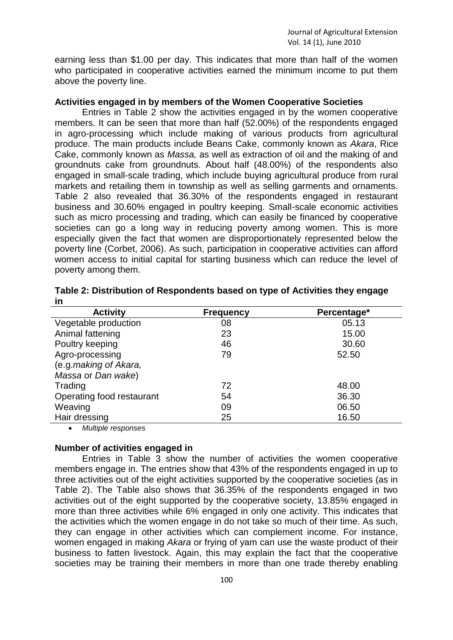earning less than \$1.00 per day. This indicates that more than half of the women who participated in cooperative activities earned the minimum income to put them above the poverty line.

# **Activities engaged in by members of the Women Cooperative Societies**

Entries in Table 2 show the activities engaged in by the women cooperative members. It can be seen that more than half (52.00%) of the respondents engaged in agro-processing which include making of various products from agricultural produce. The main products include Beans Cake, commonly known as *Akara*, Rice Cake, commonly known as *Massa,* as well as extraction of oil and the making of and groundnuts cake from groundnuts. About half (48.00%) of the respondents also engaged in small-scale trading, which include buying agricultural produce from rural markets and retailing them in township as well as selling garments and ornaments. Table 2 also revealed that 36.30% of the respondents engaged in restaurant business and 30.60% engaged in poultry keeping. Small-scale economic activities such as micro processing and trading, which can easily be financed by cooperative societies can go a long way in reducing poverty among women. This is more especially given the fact that women are disproportionately represented below the poverty line (Corbet, 2006). As such, participation in cooperative activities can afford women access to initial capital for starting business which can reduce the level of poverty among them.

| <b>Activity</b>           | <b>Frequency</b> | Percentage* |
|---------------------------|------------------|-------------|
| Vegetable production      | 08               | 05.13       |
| Animal fattening          | 23               | 15.00       |
| Poultry keeping           | 46               | 30.60       |
| Agro-processing           | 79               | 52.50       |
| (e.g.making of Akara,     |                  |             |
| Massa or Dan wake)        |                  |             |
| Trading                   | 72               | 48.00       |
| Operating food restaurant | 54               | 36.30       |
| Weaving                   | 09               | 06.50       |
| Hair dressing             | 25               | 16.50       |

| Table 2: Distribution of Respondents based on type of Activities they engage |  |
|------------------------------------------------------------------------------|--|
| in                                                                           |  |

*Multiple responses* 

#### **Number of activities engaged in**

Entries in Table 3 show the number of activities the women cooperative members engage in. The entries show that 43% of the respondents engaged in up to three activities out of the eight activities supported by the cooperative societies (as in Table 2). The Table also shows that 36.35% of the respondents engaged in two activities out of the eight supported by the cooperative society, 13.85% engaged in more than three activities while 6% engaged in only one activity. This indicates that the activities which the women engage in do not take so much of their time. As such, they can engage in other activities which can complement income. For instance, women engaged in making *Akara* or frying of yam can use the waste product of their business to fatten livestock. Again, this may explain the fact that the cooperative societies may be training their members in more than one trade thereby enabling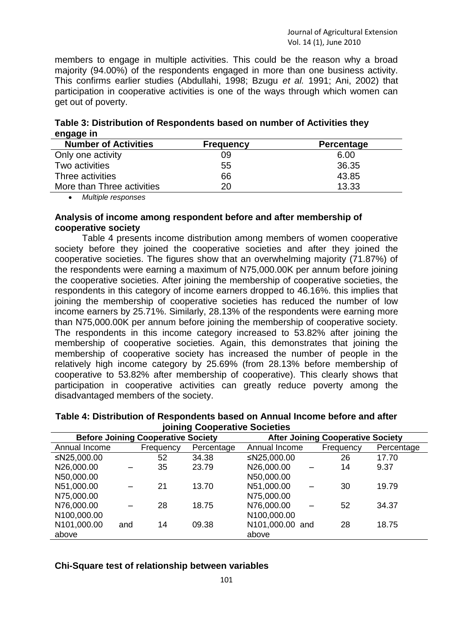members to engage in multiple activities. This could be the reason why a broad majority (94.00%) of the respondents engaged in more than one business activity. This confirms earlier studies (Abdullahi, 1998; Bzugu *et al.* 1991; Ani, 2002) that participation in cooperative activities is one of the ways through which women can get out of poverty.

| Number of Activities                                                    | <b>Ergaugney</b> | <b>Darcontono</b> |
|-------------------------------------------------------------------------|------------------|-------------------|
| engage in                                                               |                  |                   |
| Table 3: Distribution of Respondents based on number of Activities they |                  |                   |

| <b>Number of Activities</b> | <b>Frequency</b> | Percentage |
|-----------------------------|------------------|------------|
| Only one activity           | 09               | 6.00       |
| Two activities              | 55               | 36.35      |
| Three activities            | 66               | 43.85      |
| More than Three activities  | 20               | 13.33      |

*Multiple responses* 

# **Analysis of income among respondent before and after membership of cooperative society**

Table 4 presents income distribution among members of women cooperative society before they joined the cooperative societies and after they joined the cooperative societies. The figures show that an overwhelming majority (71.87%) of the respondents were earning a maximum of N75,000.00K per annum before joining the cooperative societies. After joining the membership of cooperative societies, the respondents in this category of income earners dropped to 46.16%. this implies that joining the membership of cooperative societies has reduced the number of low income earners by 25.71%. Similarly, 28.13% of the respondents were earning more than N75,000.00K per annum before joining the membership of cooperative society. The respondents in this income category increased to 53.82% after joining the membership of cooperative societies. Again, this demonstrates that joining the membership of cooperative society has increased the number of people in the relatively high income category by 25.69% (from 28.13% before membership of cooperative to 53.82% after membership of cooperative). This clearly shows that participation in cooperative activities can greatly reduce poverty among the disadvantaged members of the society.

| joining Cooperative Societies |     |                                           |            |                 |                                          |            |
|-------------------------------|-----|-------------------------------------------|------------|-----------------|------------------------------------------|------------|
|                               |     | <b>Before Joining Cooperative Society</b> |            |                 | <b>After Joining Cooperative Society</b> |            |
| Annual Income                 |     | Frequency                                 | Percentage | Annual Income   | Frequency                                | Percentage |
| ≤N25,000.00                   |     | 52                                        | 34.38      | ≤N25,000.00     | 26                                       | 17.70      |
| N26,000.00                    |     | 35                                        | 23.79      | N26,000.00      | 14                                       | 9.37       |
| N50,000.00                    |     |                                           |            | N50,000.00      |                                          |            |
| N51,000.00                    |     | 21                                        | 13.70      | N51,000.00      | 30                                       | 19.79      |
| N75,000.00                    |     |                                           |            | N75,000.00      |                                          |            |
| N76,000.00                    |     | 28                                        | 18.75      | N76,000.00      | 52                                       | 34.37      |
| N100,000.00                   |     |                                           |            | N100,000.00     |                                          |            |
| N <sub>101</sub> ,000.00      | and | 14                                        | 09.38      | N101,000.00 and | 28                                       | 18.75      |
| above                         |     |                                           |            | above           |                                          |            |

**Table 4: Distribution of Respondents based on Annual Income before and after joining Cooperative Societies**

# **Chi-Square test of relationship between variables**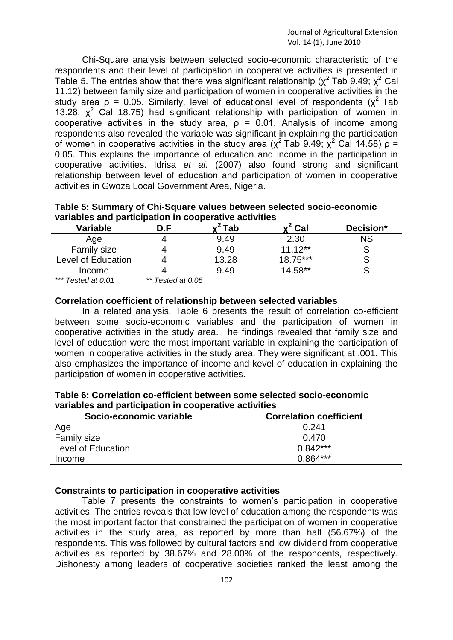Chi-Square analysis between selected socio-economic characteristic of the respondents and their level of participation in cooperative activities is presented in Table 5. The entries show that there was significant relationship ( $\chi^2$  Tab 9.49;  $\chi^2$  Cal 11.12) between family size and participation of women in cooperative activities in the study area  $\rho = 0.05$ . Similarly, level of educational level of respondents ( $\chi^2$  Tab 13.28;  $x^2$  Cal 18.75) had significant relationship with participation of women in cooperative activities in the study area,  $p = 0.01$ . Analysis of income among respondents also revealed the variable was significant in explaining the participation of women in cooperative activities in the study area ( $\chi^2$  Tab 9.49;  $\chi^2$  Cal 14.58) ρ = 0.05. This explains the importance of education and income in the participation in cooperative activities. Idrisa *et al.* (2007) also found strong and significant relationship between level of education and participation of women in cooperative activities in Gwoza Local Government Area, Nigeria.

| Table 5: Summary of Chi-Square values between selected socio-economic |  |
|-----------------------------------------------------------------------|--|
| variables and participation in cooperative activities                 |  |

| Variable           | ם ר | ™ab   | Cal       | Decision* |
|--------------------|-----|-------|-----------|-----------|
| Age                |     | 9.49  | 2.30      | <b>NS</b> |
| Family size        |     | 9.49  | $11.12**$ |           |
| Level of Education |     | 13.28 | 18.75***  |           |
| Income             |     | 9.49  | $14.58**$ |           |
| .                  | .   |       |           |           |

*\*\*\* Tested at 0.01 \*\* Tested at 0.05*

#### **Correlation coefficient of relationship between selected variables**

In a related analysis, Table 6 presents the result of correlation co-efficient between some socio-economic variables and the participation of women in cooperative activities in the study area. The findings revealed that family size and level of education were the most important variable in explaining the participation of women in cooperative activities in the study area. They were significant at .001. This also emphasizes the importance of income and kevel of education in explaining the participation of women in cooperative activities.

| Table 6: Correlation co-efficient between some selected socio-economic |  |  |
|------------------------------------------------------------------------|--|--|
| variables and participation in cooperative activities                  |  |  |

| Socio-economic variable | <b>Correlation coefficient</b> |  |  |
|-------------------------|--------------------------------|--|--|
| Age                     | 0.241                          |  |  |
| <b>Family size</b>      | 0.470                          |  |  |
| Level of Education      | $0.842***$                     |  |  |
| Income                  | $0.864***$                     |  |  |

# **Constraints to participation in cooperative activities**

Table 7 presents the constraints to women's participation in cooperative activities. The entries reveals that low level of education among the respondents was the most important factor that constrained the participation of women in cooperative activities in the study area, as reported by more than half (56.67%) of the respondents. This was followed by cultural factors and low dividend from cooperative activities as reported by 38.67% and 28.00% of the respondents, respectively. Dishonesty among leaders of cooperative societies ranked the least among the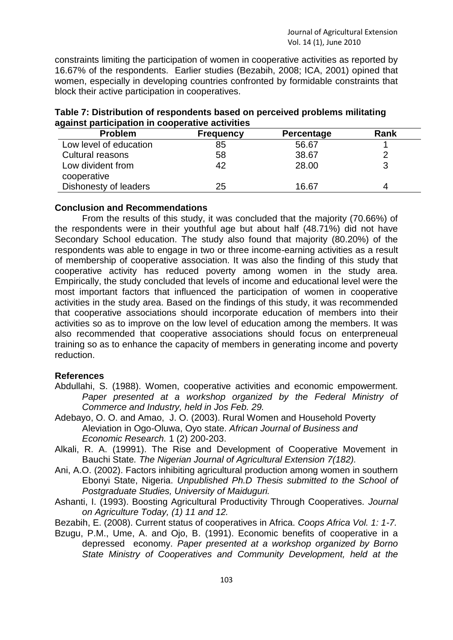constraints limiting the participation of women in cooperative activities as reported by 16.67% of the respondents. Earlier studies (Bezabih, 2008; ICA, 2001) opined that women, especially in developing countries confronted by formidable constraints that block their active participation in cooperatives.

| <b>Problem</b>                   | <b>Frequency</b> | Percentage | Rank |
|----------------------------------|------------------|------------|------|
| Low level of education           | 85               | 56.67      |      |
| Cultural reasons                 | 58               | 38.67      |      |
| Low divident from<br>cooperative | 42               | 28.00      |      |
| Dishonesty of leaders            | 25               | 16.67      |      |

**Table 7: Distribution of respondents based on perceived problems militating against participation in cooperative activities**

# **Conclusion and Recommendations**

From the results of this study, it was concluded that the majority (70.66%) of the respondents were in their youthful age but about half (48.71%) did not have Secondary School education. The study also found that majority (80.20%) of the respondents was able to engage in two or three income-earning activities as a result of membership of cooperative association. It was also the finding of this study that cooperative activity has reduced poverty among women in the study area. Empirically, the study concluded that levels of income and educational level were the most important factors that influenced the participation of women in cooperative activities in the study area. Based on the findings of this study, it was recommended that cooperative associations should incorporate education of members into their activities so as to improve on the low level of education among the members. It was also recommended that cooperative associations should focus on enterpreneual training so as to enhance the capacity of members in generating income and poverty reduction.

# **References**

- Abdullahi, S. (1988). Women, cooperative activities and economic empowerment. Paper presented at a workshop organized by the Federal Ministry of *Commerce and Industry, held in Jos Feb. 29.*
- Adebayo, O. O. and Amao, J. O. (2003). Rural Women and Household Poverty Aleviation in Ogo-Oluwa, Oyo state. *African Journal of Business and Economic Research.* 1 (2) 200-203.
- Alkali, R. A. (19991). The Rise and Development of Cooperative Movement in Bauchi State*. The Nigerian Journal of Agricultural Extension 7(182).*
- Ani, A.O. (2002). Factors inhibiting agricultural production among women in southern Ebonyi State, Nigeria. *Unpublished Ph.D Thesis submitted to the School of Postgraduate Studies, University of Maiduguri.*
- Ashanti, I. (1993). Boosting Agricultural Productivity Through Cooperatives. *Journal on Agriculture Today, (1) 11 and 12.*
- Bezabih, E. (2008). Current status of cooperatives in Africa. *Coops Africa Vol. 1: 1-7.*
- Bzugu, P.M., Ume, A. and Ojo, B. (1991). Economic benefits of cooperative in a depressed economy. *Paper presented at a workshop organized by Borno State Ministry of Cooperatives and Community Development, held at the*